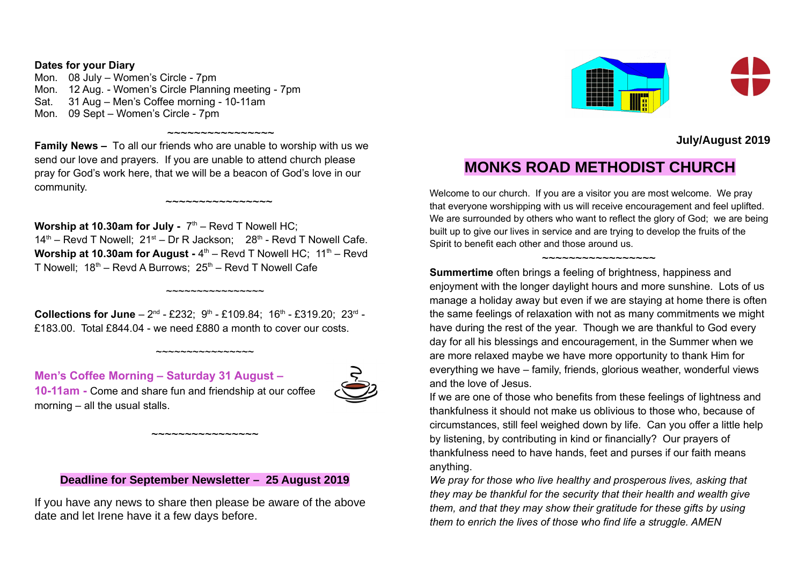#### **Dates for your Diary**

Mon. 08 July – Women's Circle - 7pm Mon. 12 Aug. - Women's Circle Planning meeting - 7pm Sat. 31 Aug – Men's Coffee morning - 10-11am Mon. 09 Sept – Women's Circle - 7pm

**Family News –** To all our friends who are unable to worship with us we send our love and prayers. If you are unable to attend church please pray for God's work here, that we will be a beacon of God's love in our community.

~~~~~~~~~~~~~~~~

~~~~~~~~~~~~~~~

**Worship at 10.30am for July -**  $7<sup>th</sup>$  – Revd T Nowell HC;  $14<sup>th</sup>$  – Revd T Nowell;  $21<sup>st</sup>$  – Dr R Jackson;  $28<sup>th</sup>$  - Revd T Nowell Cafe. Worship at 10.30am for August - 4<sup>th</sup> – Revd T Nowell HC; 11<sup>th</sup> – Revd T Nowell:  $18<sup>th</sup>$  – Revd A Burrows:  $25<sup>th</sup>$  – Revd T Nowell Cafe

**Collections for June**  $-2^{nd}$  - £232;  $9^{th}$  - £109.84; 16<sup>th</sup> - £319.20; 23<sup>rd</sup> -£183.00. Total £844.04 - we need £880 a month to cover our costs.

~~~~~~~~~~~~~~~~~

~~~~~~~~~~~~~~~~

**Men's Coffee Morning – Saturday 31 August – 10-11am -** Come and share fun and friendship at our coffee morning – all the usual stalls.



# **Deadline for September Newsletter – 25 August 2019**

~~~~~~~~~~~~~~~~~~~~~~~~~

If you have any news to share then please be aware of the above date and let Irene have it a few days before.



**July/August 2019**

# **MONKS ROAD METHODIST CHURCH**

Welcome to our church. If you are a visitor you are most welcome. We pray that everyone worshipping with us will receive encouragement and feel uplifted. We are surrounded by others who want to reflect the glory of God; we are being built up to give our lives in service and are trying to develop the fruits of the Spirit to benefit each other and those around us.

#### ~~~~~~~~~~~~~~~~~

**Summertime** often brings a feeling of brightness, happiness and enjoyment with the longer daylight hours and more sunshine. Lots of us manage a holiday away but even if we are staying at home there is often the same feelings of relaxation with not as many commitments we might have during the rest of the year. Though we are thankful to God every day for all his blessings and encouragement, in the Summer when we are more relaxed maybe we have more opportunity to thank Him for everything we have – family, friends, glorious weather, wonderful views and the love of Jesus.

If we are one of those who benefits from these feelings of lightness and thankfulness it should not make us oblivious to those who, because of circumstances, still feel weighed down by life. Can you offer a little help by listening, by contributing in kind or financially? Our prayers of thankfulness need to have hands, feet and purses if our faith means anything.

*We pray for those who live healthy and prosperous lives, asking that they may be thankful for the security that their health and wealth give them, and that they may show their gratitude for these gifts by using them to enrich the lives of those who find life a struggle. AMEN*